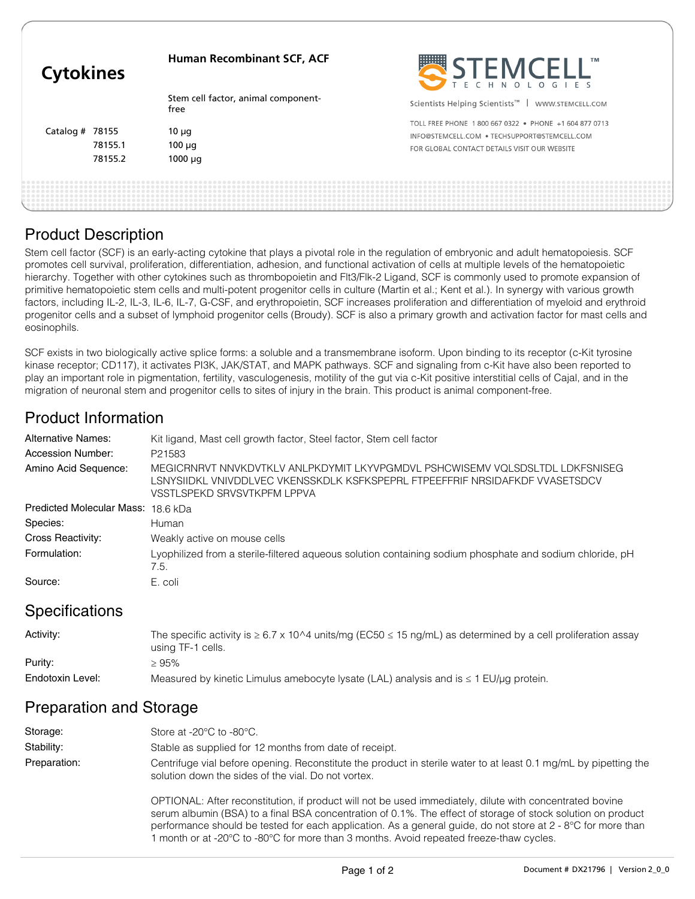| <b>Cytokines</b>  |         | <b>Human Recombinant SCF, ACF</b>           | STEMCELL"                                                        |
|-------------------|---------|---------------------------------------------|------------------------------------------------------------------|
|                   |         | Stem cell factor, animal component-<br>free | Scientists Helping Scientists <sup>™</sup>  <br>WWW.STEMCELL.COM |
| Catalog $#$ 78155 |         | 10 $\mu$ g                                  | TOLL FREE PHONE 1800 667 0322 · PHONE +1 604 877 0713            |
|                   |         |                                             | INFO@STEMCELL.COM • TECHSUPPORT@STEMCELL.COM                     |
|                   | 78155.1 | $100 \mu q$                                 | FOR GLOBAL CONTACT DETAILS VISIT OUR WEBSITE                     |
|                   | 78155.2 | $1000 \mu q$                                |                                                                  |
|                   |         |                                             |                                                                  |
|                   |         |                                             |                                                                  |

### Product Description

Stem cell factor (SCF) is an early-acting cytokine that plays a pivotal role in the regulation of embryonic and adult hematopoiesis. SCF promotes cell survival, proliferation, differentiation, adhesion, and functional activation of cells at multiple levels of the hematopoietic hierarchy. Together with other cytokines such as thrombopoietin and Flt3/Flk-2 Ligand, SCF is commonly used to promote expansion of primitive hematopoietic stem cells and multi-potent progenitor cells in culture (Martin et al.; Kent et al.). In synergy with various growth factors, including IL-2, IL-3, IL-6, IL-7, G-CSF, and erythropoietin, SCF increases proliferation and differentiation of myeloid and erythroid progenitor cells and a subset of lymphoid progenitor cells (Broudy). SCF is also a primary growth and activation factor for mast cells and eosinophils.

SCF exists in two biologically active splice forms: a soluble and a transmembrane isoform. Upon binding to its receptor (c-Kit tyrosine kinase receptor; CD117), it activates PI3K, JAK/STAT, and MAPK pathways. SCF and signaling from c-Kit have also been reported to play an important role in pigmentation, fertility, vasculogenesis, motility of the gut via c-Kit positive interstitial cells of Cajal, and in the migration of neuronal stem and progenitor cells to sites of injury in the brain. This product is animal component-free.

# Product Information

| <b>Alternative Names:</b> | Kit ligand, Mast cell growth factor, Steel factor, Stem cell factor                                                                                                                         |
|---------------------------|---------------------------------------------------------------------------------------------------------------------------------------------------------------------------------------------|
| Accession Number:         | P21583                                                                                                                                                                                      |
| Amino Acid Sequence:      | MEGICRNRVT NNVKDVTKLV ANLPKDYMIT LKYVPGMDVL PSHCWISEMV VQLSDSLTDL LDKFSNISEG<br>LSNYSIIDKL VNIVDDLVEC VKENSSKDLK KSFKSPEPRL FTPEEFFRIF NRSIDAFKDF VVASETSDCV<br>VSSTLSPEKD SRVSVTKPFM LPPVA |
| Predicted Molecular Mass: | 18.6 kDa                                                                                                                                                                                    |
| Species:                  | Human                                                                                                                                                                                       |
| Cross Reactivity:         | Weakly active on mouse cells                                                                                                                                                                |
| Formulation:              | Lyophilized from a sterile-filtered aqueous solution containing sodium phosphate and sodium chloride, pH<br>7.5.                                                                            |
| Source:                   | E. coli                                                                                                                                                                                     |

#### **Specifications**

| Activity:        | The specific activity is $\geq 6.7 \times 10^{4}$ units/mg (EC50 $\leq 15$ ng/mL) as determined by a cell proliferation assay<br>using TF-1 cells. |
|------------------|----------------------------------------------------------------------------------------------------------------------------------------------------|
| Purity:          | ≥ 95%                                                                                                                                              |
| Endotoxin Level: | Measured by kinetic Limulus amebocyte lysate (LAL) analysis and is $\leq 1$ EU/µg protein.                                                         |

# Preparation and Storage

| Storage:     | Store at -20 $\degree$ C to -80 $\degree$ C.                                                                                                                                                                                                                                                                                                                                                                                        |  |
|--------------|-------------------------------------------------------------------------------------------------------------------------------------------------------------------------------------------------------------------------------------------------------------------------------------------------------------------------------------------------------------------------------------------------------------------------------------|--|
| Stability:   | Stable as supplied for 12 months from date of receipt.                                                                                                                                                                                                                                                                                                                                                                              |  |
| Preparation: | Centrifuge vial before opening. Reconstitute the product in sterile water to at least 0.1 mg/mL by pipetting the<br>solution down the sides of the vial. Do not vortex.                                                                                                                                                                                                                                                             |  |
|              | OPTIONAL: After reconstitution, if product will not be used immediately, dilute with concentrated bovine<br>serum albumin (BSA) to a final BSA concentration of 0.1%. The effect of storage of stock solution on product<br>performance should be tested for each application. As a general guide, do not store at 2 - 8°C for more than<br>1 month or at -20°C to -80°C for more than 3 months. Avoid repeated freeze-thaw cycles. |  |